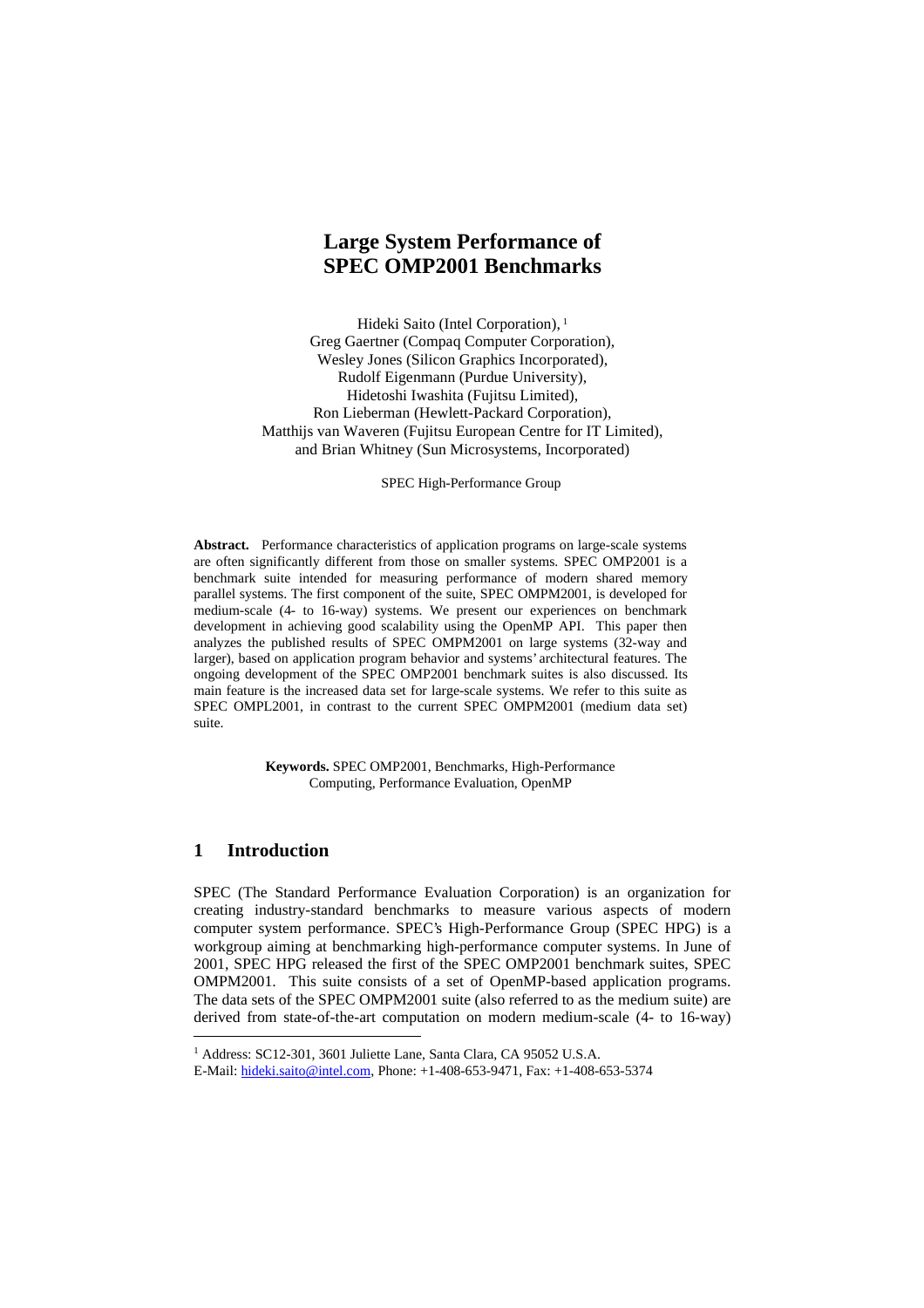# **Large System Performance of SPEC OMP2001 Benchmarks**

Hideki Saito (Intel Corporation), <sup>1</sup> Greg Gaertner (Compaq Computer Corporation), Wesley Jones (Silicon Graphics Incorporated), Rudolf Eigenmann (Purdue University), Hidetoshi Iwashita (Fujitsu Limited), Ron Lieberman (Hewlett-Packard Corporation), Matthijs van Waveren (Fujitsu European Centre for IT Limited), and Brian Whitney (Sun Microsystems, Incorporated)

SPEC High-Performance Group

**Abstract.** Performance characteristics of application programs on large-scale systems are often significantly different from those on smaller systems. SPEC OMP2001 is a benchmark suite intended for measuring performance of modern shared memory parallel systems. The first component of the suite, SPEC OMPM2001, is developed for medium-scale (4- to 16-way) systems. We present our experiences on benchmark development in achieving good scalability using the OpenMP API. This paper then analyzes the published results of SPEC OMPM2001 on large systems (32-way and larger), based on application program behavior and systems' architectural features. The ongoing development of the SPEC OMP2001 benchmark suites is also discussed. Its main feature is the increased data set for large-scale systems. We refer to this suite as SPEC OMPL2001, in contrast to the current SPEC OMPM2001 (medium data set) suite.

> **Keywords.** SPEC OMP2001, Benchmarks, High-Performance Computing, Performance Evaluation, OpenMP

## **1 Introduction**

SPEC (The Standard Performance Evaluation Corporation) is an organization for creating industry-standard benchmarks to measure various aspects of modern computer system performance. SPEC's High-Performance Group (SPEC HPG) is a workgroup aiming at benchmarking high-performance computer systems. In June of 2001, SPEC HPG released the first of the SPEC OMP2001 benchmark suites, SPEC OMPM2001. This suite consists of a set of OpenMP-based application programs. The data sets of the SPEC OMPM2001 suite (also referred to as the medium suite) are derived from state-of-the-art computation on modern medium-scale (4- to 16-way)

<sup>&</sup>lt;sup>1</sup> Address: SC12-301, 3601 Juliette Lane, Santa Clara, CA 95052 U.S.A.

E-Mail: hideki.saito@intel.com, Phone: +1-408-653-9471, Fax: +1-408-653-5374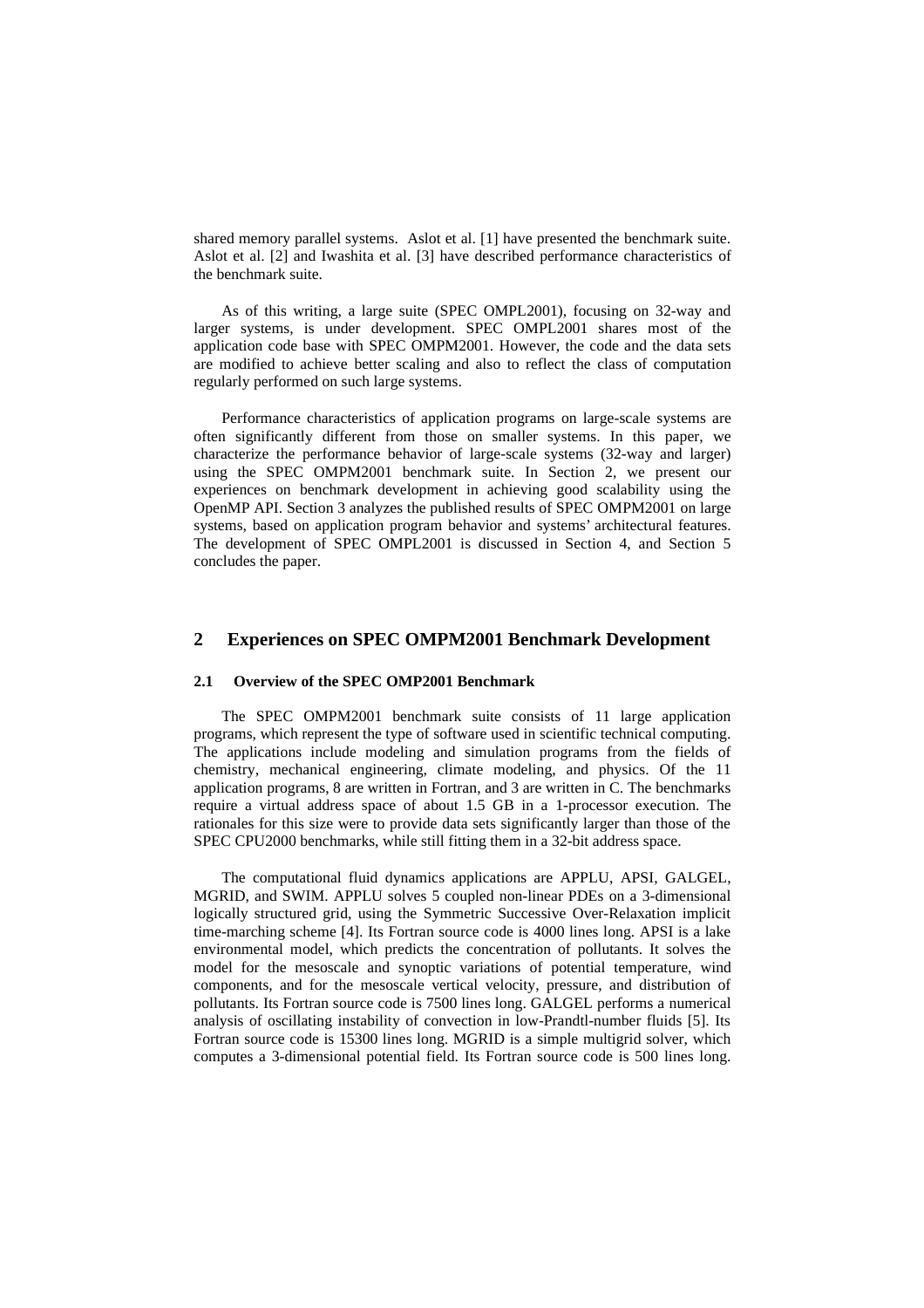shared memory parallel systems. Aslot et al. [1] have presented the benchmark suite. Aslot et al. [2] and Iwashita et al. [3] have described performance characteristics of the benchmark suite.

As of this writing, a large suite (SPEC OMPL2001), focusing on 32-way and larger systems, is under development. SPEC OMPL2001 shares most of the application code base with SPEC OMPM2001. However, the code and the data sets are modified to achieve better scaling and also to reflect the class of computation regularly performed on such large systems.

Performance characteristics of application programs on large-scale systems are often significantly different from those on smaller systems. In this paper, we characterize the performance behavior of large-scale systems (32-way and larger) using the SPEC OMPM2001 benchmark suite. In Section 2, we present our experiences on benchmark development in achieving good scalability using the OpenMP API. Section 3 analyzes the published results of SPEC OMPM2001 on large systems, based on application program behavior and systems' architectural features. The development of SPEC OMPL2001 is discussed in Section 4, and Section 5 concludes the paper.

## **2 Experiences on SPEC OMPM2001 Benchmark Development**

#### **2.1 Overview of the SPEC OMP2001 Benchmark**

The SPEC OMPM2001 benchmark suite consists of 11 large application programs, which represent the type of software used in scientific technical computing. The applications include modeling and simulation programs from the fields of chemistry, mechanical engineering, climate modeling, and physics. Of the 11 application programs, 8 are written in Fortran, and 3 are written in C. The benchmarks require a virtual address space of about 1.5 GB in a 1-processor execution. The rationales for this size were to provide data sets significantly larger than those of the SPEC CPU2000 benchmarks, while still fitting them in a 32-bit address space.

The computational fluid dynamics applications are APPLU, APSI, GALGEL, MGRID, and SWIM. APPLU solves 5 coupled non-linear PDEs on a 3-dimensional logically structured grid, using the Symmetric Successive Over-Relaxation implicit time-marching scheme [4]. Its Fortran source code is 4000 lines long. APSI is a lake environmental model, which predicts the concentration of pollutants. It solves the model for the mesoscale and synoptic variations of potential temperature, wind components, and for the mesoscale vertical velocity, pressure, and distribution of pollutants. Its Fortran source code is 7500 lines long. GALGEL performs a numerical analysis of oscillating instability of convection in low-Prandtl-number fluids [5]. Its Fortran source code is 15300 lines long. MGRID is a simple multigrid solver, which computes a 3-dimensional potential field. Its Fortran source code is 500 lines long.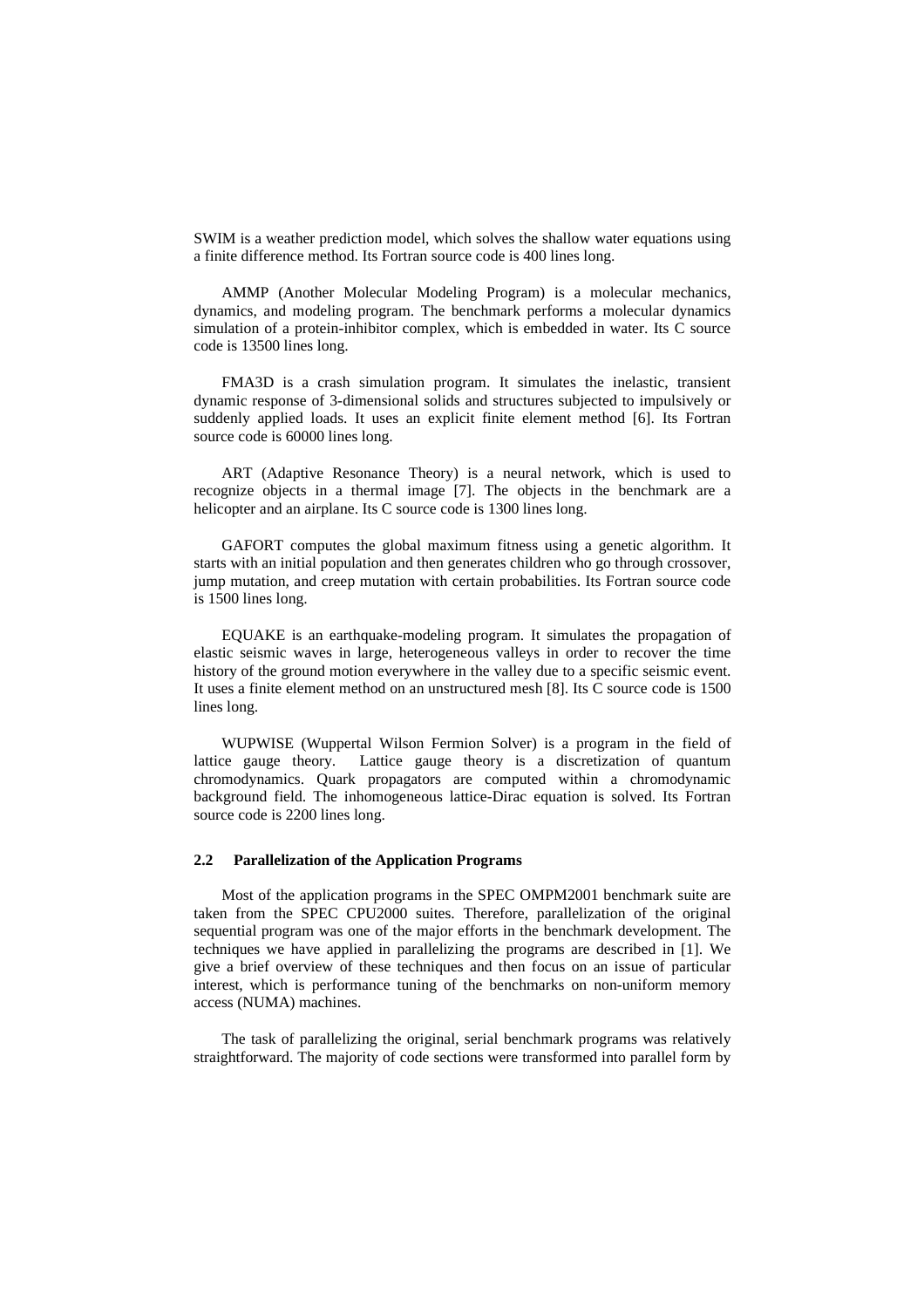SWIM is a weather prediction model, which solves the shallow water equations using a finite difference method. Its Fortran source code is 400 lines long.

AMMP (Another Molecular Modeling Program) is a molecular mechanics, dynamics, and modeling program. The benchmark performs a molecular dynamics simulation of a protein-inhibitor complex, which is embedded in water. Its C source code is 13500 lines long.

FMA3D is a crash simulation program. It simulates the inelastic, transient dynamic response of 3-dimensional solids and structures subjected to impulsively or suddenly applied loads. It uses an explicit finite element method [6]. Its Fortran source code is 60000 lines long.

ART (Adaptive Resonance Theory) is a neural network, which is used to recognize objects in a thermal image [7]. The objects in the benchmark are a helicopter and an airplane. Its C source code is 1300 lines long.

GAFORT computes the global maximum fitness using a genetic algorithm. It starts with an initial population and then generates children who go through crossover, jump mutation, and creep mutation with certain probabilities. Its Fortran source code is 1500 lines long.

EQUAKE is an earthquake-modeling program. It simulates the propagation of elastic seismic waves in large, heterogeneous valleys in order to recover the time history of the ground motion everywhere in the valley due to a specific seismic event. It uses a finite element method on an unstructured mesh [8]. Its C source code is 1500 lines long.

WUPWISE (Wuppertal Wilson Fermion Solver) is a program in the field of lattice gauge theory. Lattice gauge theory is a discretization of quantum chromodynamics. Quark propagators are computed within a chromodynamic background field. The inhomogeneous lattice-Dirac equation is solved. Its Fortran source code is 2200 lines long.

#### **2.2 Parallelization of the Application Programs**

Most of the application programs in the SPEC OMPM2001 benchmark suite are taken from the SPEC CPU2000 suites. Therefore, parallelization of the original sequential program was one of the major efforts in the benchmark development. The techniques we have applied in parallelizing the programs are described in [1]. We give a brief overview of these techniques and then focus on an issue of particular interest, which is performance tuning of the benchmarks on non-uniform memory access (NUMA) machines.

The task of parallelizing the original, serial benchmark programs was relatively straightforward. The majority of code sections were transformed into parallel form by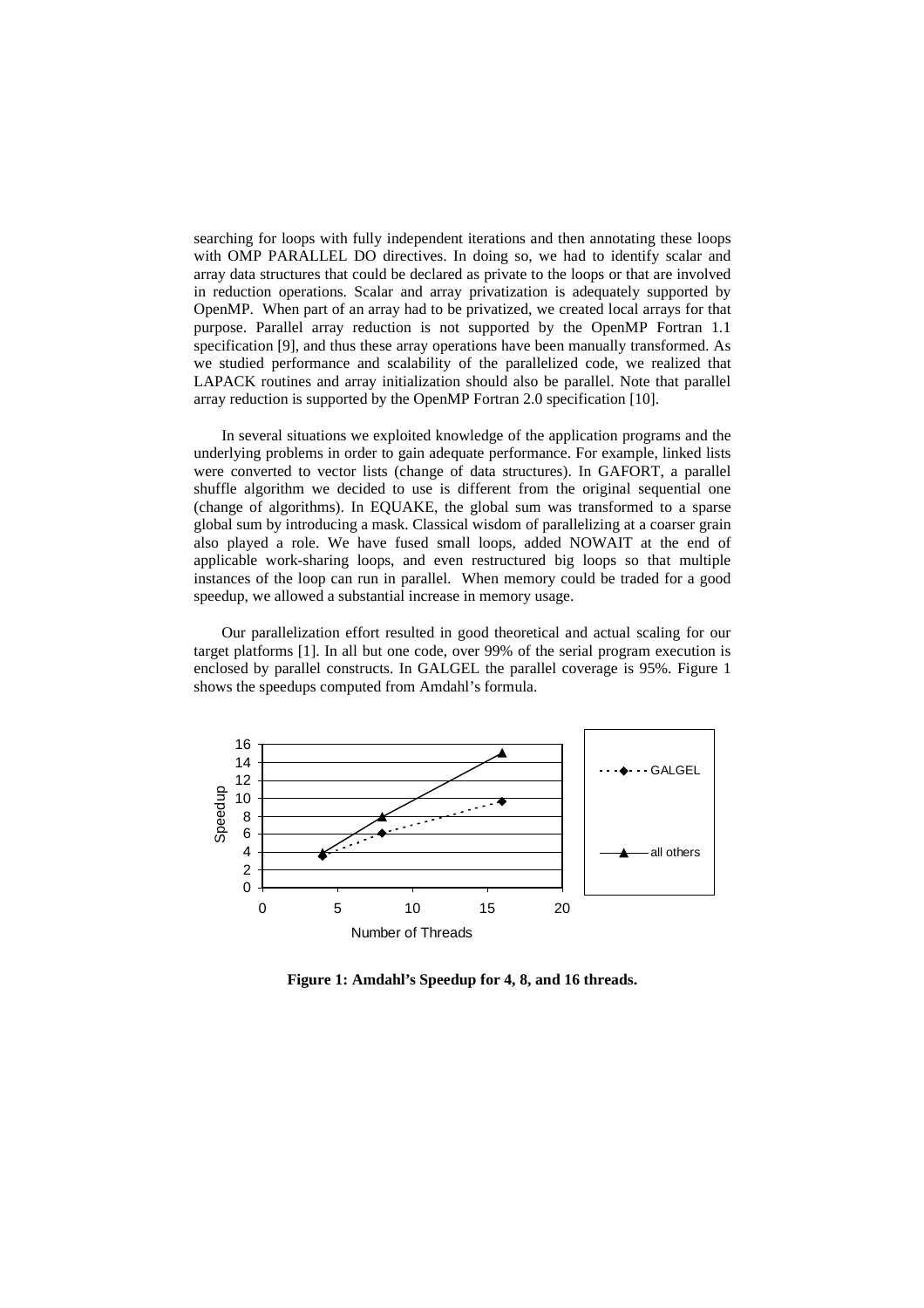searching for loops with fully independent iterations and then annotating these loops with OMP PARALLEL DO directives. In doing so, we had to identify scalar and array data structures that could be declared as private to the loops or that are involved in reduction operations. Scalar and array privatization is adequately supported by OpenMP. When part of an array had to be privatized, we created local arrays for that purpose. Parallel array reduction is not supported by the OpenMP Fortran 1.1 specification [9], and thus these array operations have been manually transformed. As we studied performance and scalability of the parallelized code, we realized that LAPACK routines and array initialization should also be parallel. Note that parallel array reduction is supported by the OpenMP Fortran 2.0 specification [10].

In several situations we exploited knowledge of the application programs and the underlying problems in order to gain adequate performance. For example, linked lists were converted to vector lists (change of data structures). In GAFORT, a parallel shuffle algorithm we decided to use is different from the original sequential one (change of algorithms). In EQUAKE, the global sum was transformed to a sparse global sum by introducing a mask. Classical wisdom of parallelizing at a coarser grain also played a role. We have fused small loops, added NOWAIT at the end of applicable work-sharing loops, and even restructured big loops so that multiple instances of the loop can run in parallel. When memory could be traded for a good speedup, we allowed a substantial increase in memory usage.

Our parallelization effort resulted in good theoretical and actual scaling for our target platforms [1]. In all but one code, over 99% of the serial program execution is enclosed by parallel constructs. In GALGEL the parallel coverage is 95%. Figure 1 shows the speedups computed from Amdahl's formula.



**Figure 1: Amdahl's Speedup for 4, 8, and 16 threads.**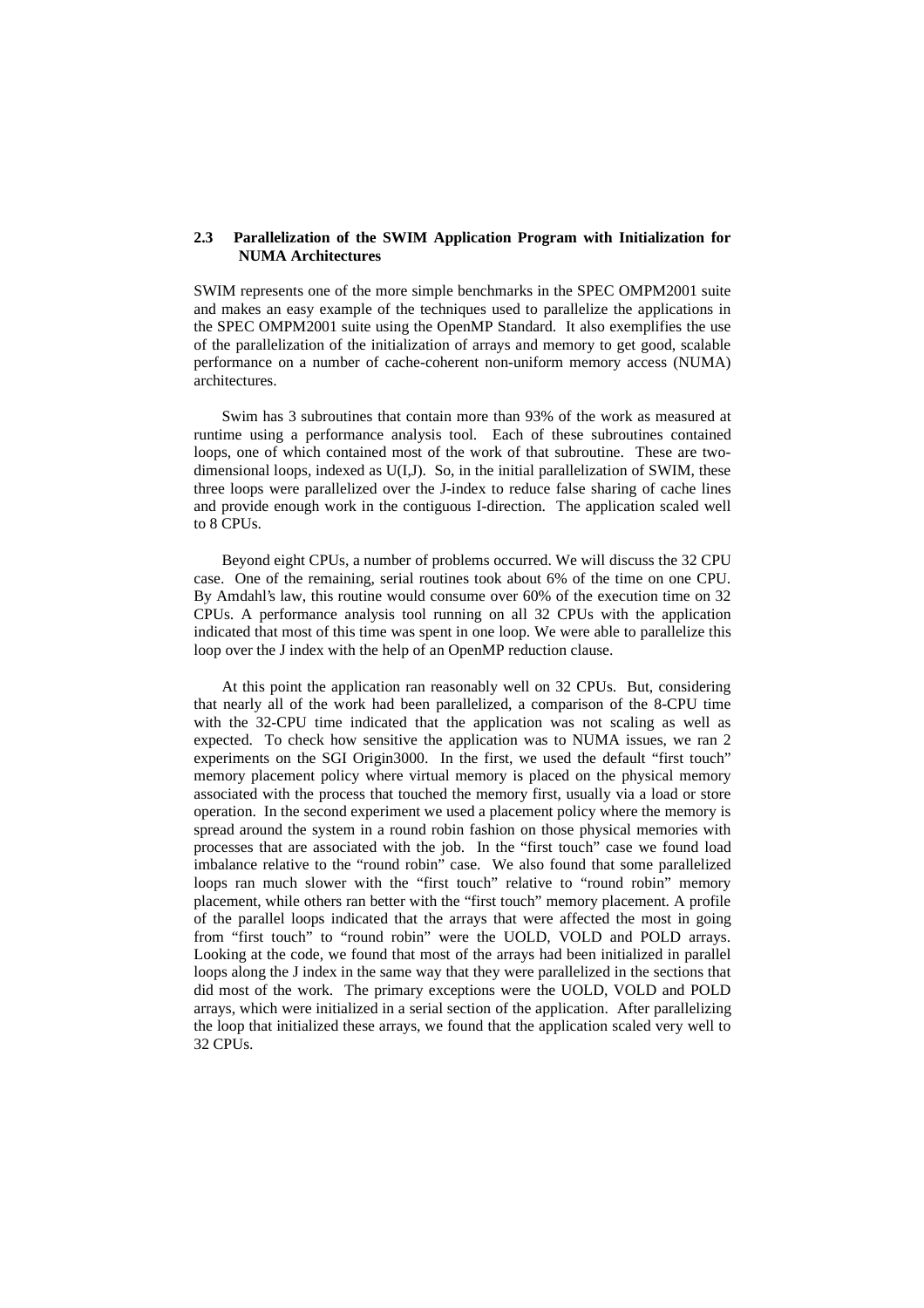#### **2.3 Parallelization of the SWIM Application Program with Initialization for NUMA Architectures**

SWIM represents one of the more simple benchmarks in the SPEC OMPM2001 suite and makes an easy example of the techniques used to parallelize the applications in the SPEC OMPM2001 suite using the OpenMP Standard. It also exemplifies the use of the parallelization of the initialization of arrays and memory to get good, scalable performance on a number of cache-coherent non-uniform memory access (NUMA) architectures.

Swim has 3 subroutines that contain more than 93% of the work as measured at runtime using a performance analysis tool. Each of these subroutines contained loops, one of which contained most of the work of that subroutine. These are twodimensional loops, indexed as U(I,J). So, in the initial parallelization of SWIM, these three loops were parallelized over the J-index to reduce false sharing of cache lines and provide enough work in the contiguous I-direction. The application scaled well to 8 CPUs.

Beyond eight CPUs, a number of problems occurred. We will discuss the 32 CPU case. One of the remaining, serial routines took about 6% of the time on one CPU. By Amdahl's law, this routine would consume over 60% of the execution time on 32 CPUs. A performance analysis tool running on all 32 CPUs with the application indicated that most of this time was spent in one loop. We were able to parallelize this loop over the J index with the help of an OpenMP reduction clause.

At this point the application ran reasonably well on 32 CPUs. But, considering that nearly all of the work had been parallelized, a comparison of the 8-CPU time with the 32-CPU time indicated that the application was not scaling as well as expected. To check how sensitive the application was to NUMA issues, we ran 2 experiments on the SGI Origin3000. In the first, we used the default "first touch" memory placement policy where virtual memory is placed on the physical memory associated with the process that touched the memory first, usually via a load or store operation. In the second experiment we used a placement policy where the memory is spread around the system in a round robin fashion on those physical memories with processes that are associated with the job. In the "first touch" case we found load imbalance relative to the "round robin" case. We also found that some parallelized loops ran much slower with the "first touch" relative to "round robin" memory placement, while others ran better with the "first touch" memory placement. A profile of the parallel loops indicated that the arrays that were affected the most in going from "first touch" to "round robin" were the UOLD, VOLD and POLD arrays. Looking at the code, we found that most of the arrays had been initialized in parallel loops along the J index in the same way that they were parallelized in the sections that did most of the work. The primary exceptions were the UOLD, VOLD and POLD arrays, which were initialized in a serial section of the application. After parallelizing the loop that initialized these arrays, we found that the application scaled very well to 32 CPUs.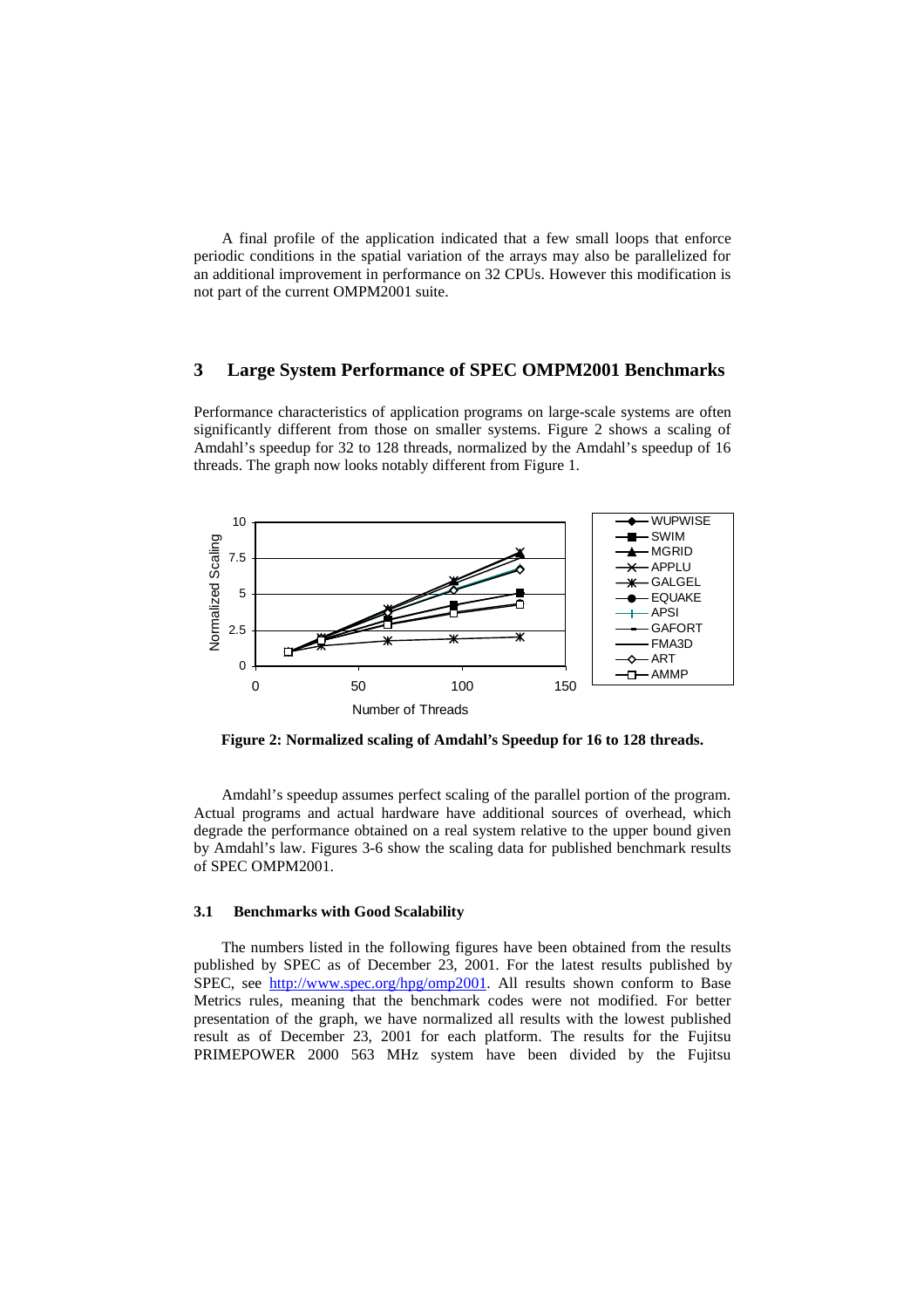A final profile of the application indicated that a few small loops that enforce periodic conditions in the spatial variation of the arrays may also be parallelized for an additional improvement in performance on 32 CPUs. However this modification is not part of the current OMPM2001 suite.

## **3 Large System Performance of SPEC OMPM2001 Benchmarks**

Performance characteristics of application programs on large-scale systems are often significantly different from those on smaller systems. Figure 2 shows a scaling of Amdahl's speedup for 32 to 128 threads, normalized by the Amdahl's speedup of 16 threads. The graph now looks notably different from Figure 1.



**Figure 2: Normalized scaling of Amdahl's Speedup for 16 to 128 threads.**

Amdahl's speedup assumes perfect scaling of the parallel portion of the program. Actual programs and actual hardware have additional sources of overhead, which degrade the performance obtained on a real system relative to the upper bound given by Amdahl's law. Figures 3-6 show the scaling data for published benchmark results of SPEC OMPM2001.

## **3.1 Benchmarks with Good Scalability**

The numbers listed in the following figures have been obtained from the results published by SPEC as of December 23, 2001. For the latest results published by SPEC, see http://www.spec.org/hpg/omp2001. All results shown conform to Base Metrics rules, meaning that the benchmark codes were not modified. For better presentation of the graph, we have normalized all results with the lowest published result as of December 23, 2001 for each platform. The results for the Fujitsu PRIMEPOWER 2000 563 MHz system have been divided by the Fujitsu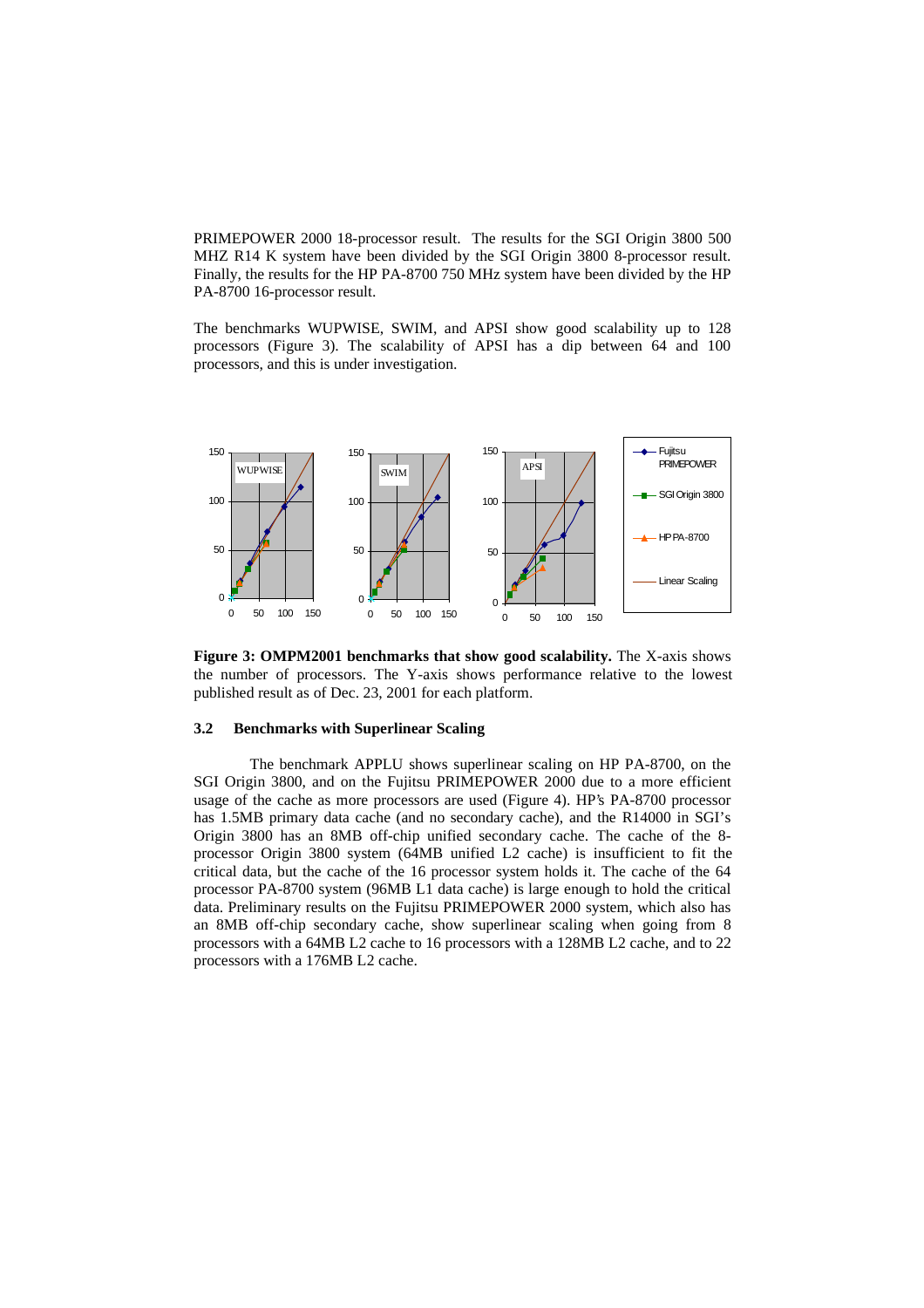PRIMEPOWER 2000 18-processor result. The results for the SGI Origin 3800 500 MHZ R14 K system have been divided by the SGI Origin 3800 8-processor result. Finally, the results for the HP PA-8700 750 MHz system have been divided by the HP PA-8700 16-processor result.

The benchmarks WUPWISE, SWIM, and APSI show good scalability up to 128 processors (Figure 3). The scalability of APSI has a dip between 64 and 100 processors, and this is under investigation.



Figure 3: OMPM2001 benchmarks that show good scalability. The X-axis shows the number of processors. The Y-axis shows performance relative to the lowest published result as of Dec. 23, 2001 for each platform.

#### **3.2 Benchmarks with Superlinear Scaling**

The benchmark APPLU shows superlinear scaling on HP PA-8700, on the SGI Origin 3800, and on the Fujitsu PRIMEPOWER 2000 due to a more efficient usage of the cache as more processors are used (Figure 4). HP's PA-8700 processor has 1.5MB primary data cache (and no secondary cache), and the R14000 in SGI's Origin 3800 has an 8MB off-chip unified secondary cache. The cache of the 8 processor Origin 3800 system (64MB unified L2 cache) is insufficient to fit the critical data, but the cache of the 16 processor system holds it. The cache of the 64 processor PA-8700 system (96MB L1 data cache) is large enough to hold the critical data. Preliminary results on the Fujitsu PRIMEPOWER 2000 system, which also has an 8MB off-chip secondary cache, show superlinear scaling when going from 8 processors with a 64MB L2 cache to 16 processors with a 128MB L2 cache, and to 22 processors with a 176MB L2 cache.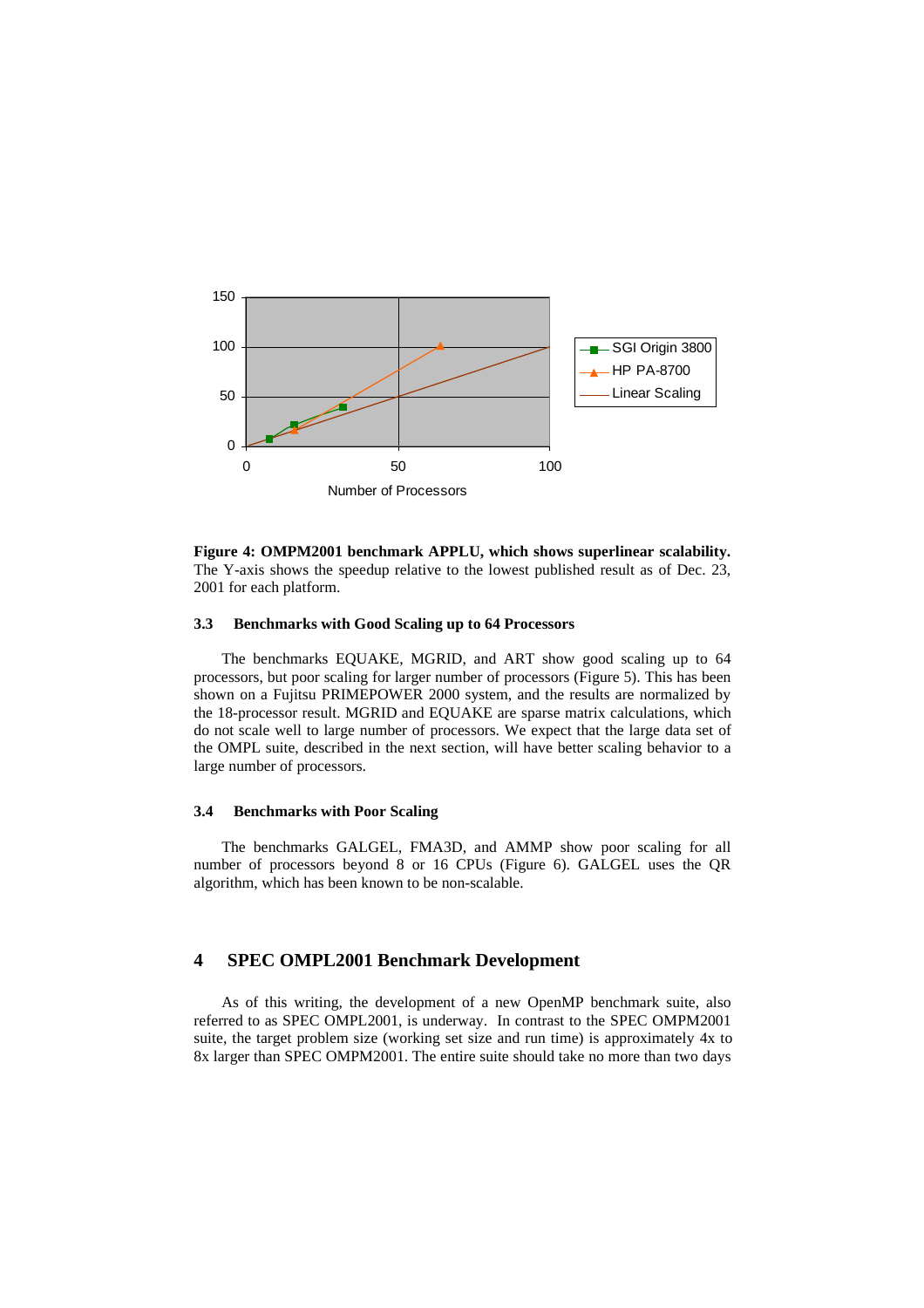

**Figure 4: OMPM2001 benchmark APPLU, which shows superlinear scalability.** The Y-axis shows the speedup relative to the lowest published result as of Dec. 23, 2001 for each platform.

#### **3.3 Benchmarks with Good Scaling up to 64 Processors**

The benchmarks EQUAKE, MGRID, and ART show good scaling up to 64 processors, but poor scaling for larger number of processors (Figure 5). This has been shown on a Fujitsu PRIMEPOWER 2000 system, and the results are normalized by the 18-processor result. MGRID and EQUAKE are sparse matrix calculations, which do not scale well to large number of processors. We expect that the large data set of the OMPL suite, described in the next section, will have better scaling behavior to a large number of processors.

#### **3.4 Benchmarks with Poor Scaling**

The benchmarks GALGEL, FMA3D, and AMMP show poor scaling for all number of processors beyond 8 or 16 CPUs (Figure 6). GALGEL uses the QR algorithm, which has been known to be non-scalable.

## **4 SPEC OMPL2001 Benchmark Development**

As of this writing, the development of a new OpenMP benchmark suite, also referred to as SPEC OMPL2001, is underway. In contrast to the SPEC OMPM2001 suite, the target problem size (working set size and run time) is approximately 4x to 8x larger than SPEC OMPM2001. The entire suite should take no more than two days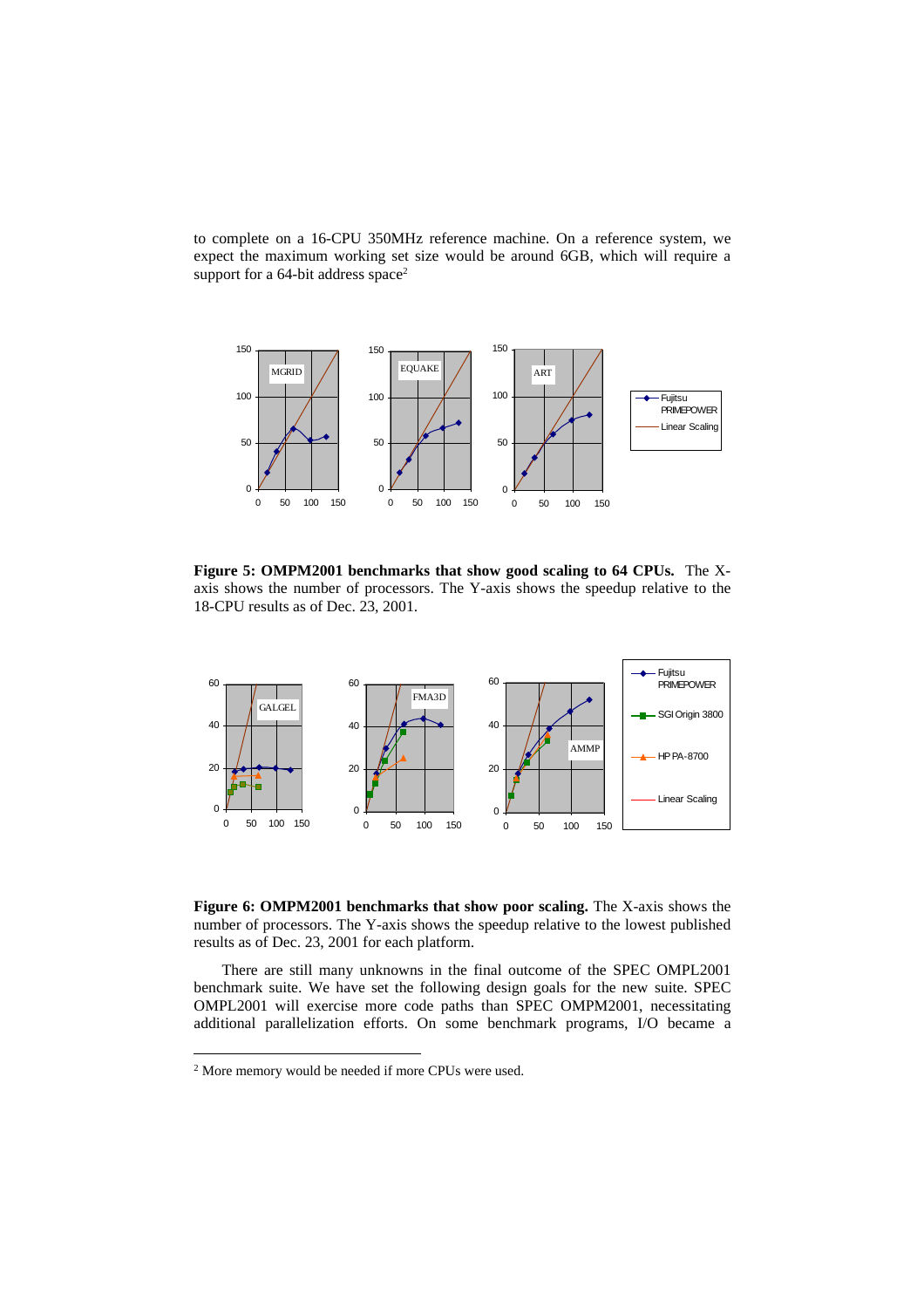to complete on a 16-CPU 350MHz reference machine. On a reference system, we expect the maximum working set size would be around 6GB, which will require a support for a 64-bit address space<sup>2</sup>



**Figure 5: OMPM2001 benchmarks that show good scaling to 64 CPUs.** The Xaxis shows the number of processors. The Y-axis shows the speedup relative to the 18-CPU results as of Dec. 23, 2001.



**Figure 6: OMPM2001 benchmarks that show poor scaling.** The X-axis shows the number of processors. The Y-axis shows the speedup relative to the lowest published results as of Dec. 23, 2001 for each platform.

There are still many unknowns in the final outcome of the SPEC OMPL2001 benchmark suite. We have set the following design goals for the new suite. SPEC OMPL2001 will exercise more code paths than SPEC OMPM2001, necessitating additional parallelization efforts. On some benchmark programs, I/O became a

 <sup>2</sup> More memory would be needed if more CPUs were used.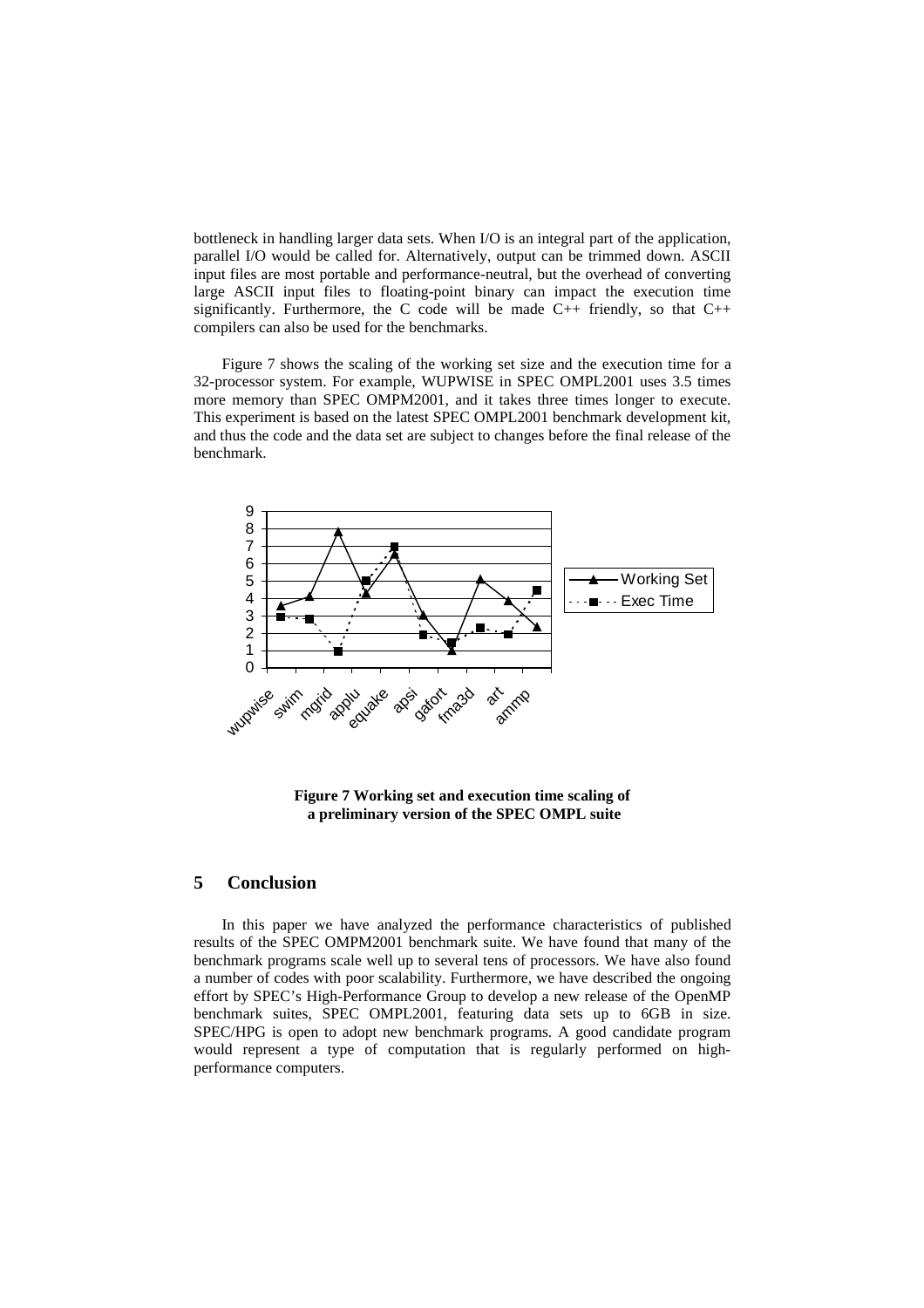bottleneck in handling larger data sets. When I/O is an integral part of the application, parallel I/O would be called for. Alternatively, output can be trimmed down. ASCII input files are most portable and performance-neutral, but the overhead of converting large ASCII input files to floating-point binary can impact the execution time significantly. Furthermore, the C code will be made  $C_{++}$  friendly, so that  $C_{++}$ compilers can also be used for the benchmarks.

Figure 7 shows the scaling of the working set size and the execution time for a 32-processor system. For example, WUPWISE in SPEC OMPL2001 uses 3.5 times more memory than SPEC OMPM2001, and it takes three times longer to execute. This experiment is based on the latest SPEC OMPL2001 benchmark development kit, and thus the code and the data set are subject to changes before the final release of the benchmark.



**Figure 7 Working set and execution time scaling of a preliminary version of the SPEC OMPL suite**

## **5 Conclusion**

In this paper we have analyzed the performance characteristics of published results of the SPEC OMPM2001 benchmark suite. We have found that many of the benchmark programs scale well up to several tens of processors. We have also found a number of codes with poor scalability. Furthermore, we have described the ongoing effort by SPEC's High-Performance Group to develop a new release of the OpenMP benchmark suites, SPEC OMPL2001, featuring data sets up to 6GB in size. SPEC/HPG is open to adopt new benchmark programs. A good candidate program would represent a type of computation that is regularly performed on highperformance computers.